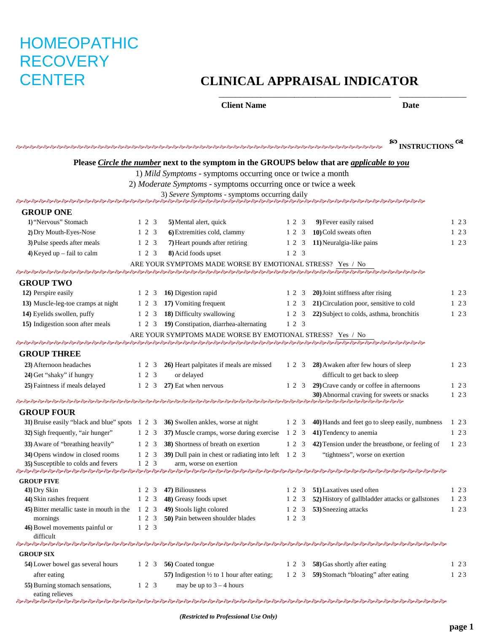# HOMEOPATHIC **RECOVERY**

# CENTER **CLINICAL APPRAISAL INDICATOR**

\_\_\_\_\_\_\_\_\_\_\_\_\_\_\_\_\_\_\_\_\_\_\_\_\_\_\_\_\_\_\_\_\_\_\_\_\_\_\_\_\_ \_\_\_\_\_\_\_\_\_\_\_\_\_\_\_\_

#### **Client Name Date**

|                                                                         |                          |                                                                                             |           | <b>EQ INSTRUCTIONS</b>                                                                                                                                                                                                        |         |
|-------------------------------------------------------------------------|--------------------------|---------------------------------------------------------------------------------------------|-----------|-------------------------------------------------------------------------------------------------------------------------------------------------------------------------------------------------------------------------------|---------|
|                                                                         |                          | Please Circle the number next to the symptom in the GROUPS below that are applicable to you |           |                                                                                                                                                                                                                               |         |
|                                                                         |                          | 1) Mild Symptoms - symptoms occurring once or twice a month                                 |           |                                                                                                                                                                                                                               |         |
|                                                                         |                          | 2) Moderate Symptoms - symptoms occurring once or twice a week                              |           |                                                                                                                                                                                                                               |         |
|                                                                         |                          |                                                                                             |           |                                                                                                                                                                                                                               |         |
|                                                                         |                          |                                                                                             |           |                                                                                                                                                                                                                               |         |
| <b>GROUP ONE</b>                                                        |                          |                                                                                             |           |                                                                                                                                                                                                                               |         |
| 1) "Nervous" Stomach                                                    | 1 2 3                    | 5) Mental alert, quick                                                                      | 1 2 3     | 9) Fever easily raised                                                                                                                                                                                                        | $1\,23$ |
| 2) Dry Mouth-Eyes-Nose                                                  | 1 2 3                    | 6) Extremities cold, clammy                                                                 | 1 2 3     | 10) Cold sweats often                                                                                                                                                                                                         | 123     |
| 3) Pulse speeds after meals                                             | $1 \t2 \t3$              | 7) Heart pounds after retiring                                                              | 1 2 3     | 11) Neuralgia-like pains                                                                                                                                                                                                      | 1 2 3   |
| 4) Keyed up $-$ fail to calm                                            | 1 2 3                    | 8) Acid foods upset                                                                         | 1 2 3     |                                                                                                                                                                                                                               |         |
|                                                                         |                          | ARE YOUR SYMPTOMS MADE WORSE BY EMOTIONAL STRESS? Yes / No                                  |           |                                                                                                                                                                                                                               |         |
| <b>GROUP TWO</b>                                                        |                          |                                                                                             |           |                                                                                                                                                                                                                               |         |
| 12) Perspire easily                                                     | 1 2 3                    | 16) Digestion rapid                                                                         | 12 3      | 20) Joint stiffness after rising                                                                                                                                                                                              | 1 2 3   |
| 13) Muscle-leg-toe cramps at night                                      | 1 2 3                    | 17) Vomiting frequent                                                                       | 1 2 3     | 21) Circulation poor, sensitive to cold                                                                                                                                                                                       | 1 2 3   |
| 14) Eyelids swollen, puffy                                              | 1 2 3                    | 18) Difficulty swallowing                                                                   | 1 2 3     | 22) Subject to colds, asthma, bronchitis                                                                                                                                                                                      | 1 2 3   |
| 15) Indigestion soon after meals                                        | 1 2 3                    | 19) Constipation, diarrhea-alternating                                                      | 1 2 3     |                                                                                                                                                                                                                               |         |
|                                                                         |                          | ARE YOUR SYMPTOMS MADE WORSE BY EMOTIONAL STRESS? Yes / No                                  |           |                                                                                                                                                                                                                               |         |
|                                                                         |                          |                                                                                             |           |                                                                                                                                                                                                                               |         |
| <b>GROUP THREE</b>                                                      |                          |                                                                                             |           |                                                                                                                                                                                                                               |         |
| 23) Afternoon headaches                                                 | 1 2 3                    | 26) Heart palpitates if meals are missed                                                    | 1 2 3     | 28) Awaken after few hours of sleep                                                                                                                                                                                           | 1 2 3   |
| 24) Get "shaky" if hungry                                               | $1 \t2 \t3$              | or delayed                                                                                  |           | difficult to get back to sleep                                                                                                                                                                                                |         |
| 25) Faintness if meals delayed                                          | 1 2 3                    | 27) Eat when nervous                                                                        | 1 2 3     | 29) Crave candy or coffee in afternoons                                                                                                                                                                                       | 1 2 3   |
|                                                                         |                          |                                                                                             |           | 30) Abnormal craving for sweets or snacks                                                                                                                                                                                     | 123     |
|                                                                         |                          |                                                                                             |           |                                                                                                                                                                                                                               |         |
| <b>GROUP FOUR</b><br>31) Bruise easily "black and blue" spots 1 2 3     |                          | 36) Swollen ankles, worse at night                                                          | 1 2 3     | 40) Hands and feet go to sleep easily, numbness                                                                                                                                                                               | $1\,23$ |
| 32) Sigh frequently, "air hunger"                                       | 1 2 3                    | 37) Muscle cramps, worse during exercise                                                    | 1 2 3     | 41) Tendency to anemia                                                                                                                                                                                                        | $1\;23$ |
|                                                                         |                          |                                                                                             |           |                                                                                                                                                                                                                               |         |
| 33) Aware of "breathing heavily"                                        | $1\quad2\quad3$          | 38) Shortness of breath on exertion                                                         | $1\ 2\ 3$ | 42) Tension under the breastbone, or feeling of                                                                                                                                                                               | $1\,23$ |
| 34) Opens window in closed rooms<br>35) Susceptible to colds and fevers | $1\ 2\ 3$<br>$1 \t2 \t3$ | 39) Dull pain in chest or radiating into left 1 2 3<br>arm, worse on exertion               |           | "tightness", worse on exertion                                                                                                                                                                                                |         |
|                                                                         |                          |                                                                                             |           | ન્દ્ર ન્હાન્દ્ર ન્હાન્દ્ર ન્હાન્દ્ર ન્હાન્દ્ર ન્હાન્દ્ર ન્હાન્દ્ર ન્હાન્દ્ર ન્હાન્દ્ર ન્હાન્દ્ર ન્હાન્દ્ર ન્હાન્દ્ર ન્હાન્દ્ર ન્હાન્દ્ર ન્હાન્દ્ર ન્હાન્દ્ર ન્હાન્દ્ર ન્હાન્દ્ર ન્હાન્દ્ર ન્હાન્દ્ર ન્હાન્દ્ર ન્હાન્દ્ર ન્હાન |         |
| <b>GROUP FIVE</b>                                                       |                          |                                                                                             |           |                                                                                                                                                                                                                               |         |
| 43) Dry Skin                                                            | 2 3                      | 47) Biliousness                                                                             | 1 2 3     | 51) Laxatives used often                                                                                                                                                                                                      | 1 2 3   |
| 44) Skin rashes frequent                                                | $1 \t2 \t3$              | 48) Greasy foods upset                                                                      | 1 2 3     | 52) History of gallbladder attacks or gallstones                                                                                                                                                                              | 123     |
| 45) Bitter metallic taste in mouth in the                               | 1 2 3                    | 49) Stools light colored                                                                    | 1 2 3     | 53) Sneezing attacks                                                                                                                                                                                                          | $1\ 23$ |
| mornings                                                                | $1\ 2\ 3$<br>$1 \t2 \t3$ | 50) Pain between shoulder blades                                                            | 123       |                                                                                                                                                                                                                               |         |
| 46) Bowel movements painful or<br>difficult                             |                          |                                                                                             |           |                                                                                                                                                                                                                               |         |
|                                                                         |                          |                                                                                             |           | <b>ადადადადა სამართა მართა მართა მართა მართან მართან მართა მართა მართა მართა მართა მართა მართა მართა</b> მართა მართა                                                                                                          |         |
| <b>GROUP SIX</b>                                                        |                          |                                                                                             |           |                                                                                                                                                                                                                               |         |
| 54) Lower bowel gas several hours                                       | $1 \t2 \t3$              | 56) Coated tongue                                                                           | 1 2 3     | 58) Gas shortly after eating                                                                                                                                                                                                  | 1 2 3   |
| after eating                                                            |                          | 57) Indigestion $\frac{1}{2}$ to 1 hour after eating;                                       |           | 1 2 3 59) Stomach "bloating" after eating                                                                                                                                                                                     | 123     |
| 55) Burning stomach sensations,                                         | $1\quad2\quad3$          | may be up to $3 - 4$ hours                                                                  |           |                                                                                                                                                                                                                               |         |
| eating relieves                                                         |                          |                                                                                             |           | <b>ადადადადა სამართა მართა მართა მართა მართან მართან მართა მართა მართა მართა მართა მართა მართა მართა</b> მართა მართა                                                                                                          |         |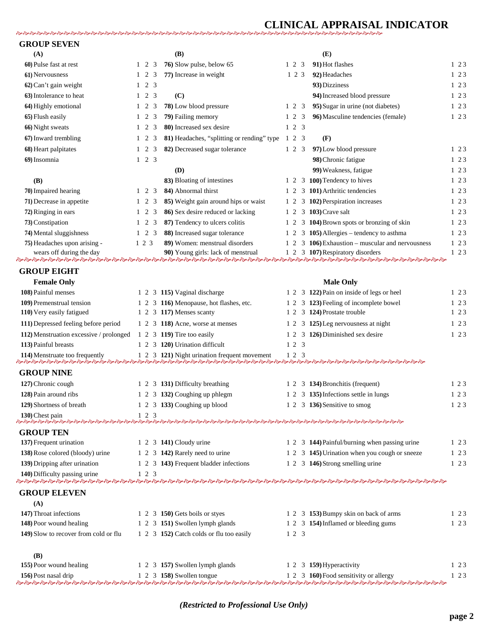## **CLINICAL APPRAISAL INDICATOR**

| <b>GROUP SEVEN</b>                      |           |           |                   |                                                  |             |                 |                                                  |           |  |
|-----------------------------------------|-----------|-----------|-------------------|--------------------------------------------------|-------------|-----------------|--------------------------------------------------|-----------|--|
| (A)                                     |           |           |                   | <b>(B)</b>                                       |             |                 | (E)                                              |           |  |
| 60) Pulse fast at rest                  |           |           | $1 \t2 \t3$       | 76) Slow pulse, below 65                         |             | $1\ 2\ 3$       | 91) Hot flashes                                  | 1 2 3     |  |
| 61) Nervousness                         |           |           | $1\quad 2\quad 3$ | 77) Increase in weight                           |             | 1 2 3           | 92) Headaches                                    | $1\;2\;3$ |  |
| 62) Can't gain weight                   |           |           | $1 \t2 \t3$       |                                                  |             |                 | 93) Dizziness                                    | $1\,23$   |  |
| 63) Intolerance to heat                 |           |           | $1\quad 2\quad 3$ | (C)                                              |             |                 | 94) Increased blood pressure                     | $1\,23$   |  |
| 64) Highly emotional                    |           |           | $1 \t2 \t3$       | 78) Low blood pressure                           |             | $1 \t2 \t3$     | 95) Sugar in urine (not diabetes)                | $1\,23$   |  |
| 65) Flush easily                        |           |           | $1 \t2 \t3$       | 79) Failing memory                               |             | $1 \t2 \t3$     | 96) Masculine tendencies (female)                | $1\,23$   |  |
| 66) Night sweats                        |           |           | $1 \t2 \t3$       | 80) Increased sex desire                         | $1 \t2 \t3$ |                 |                                                  |           |  |
| 67) Inward trembling                    |           |           | $1\quad 2\quad 3$ | 81) Headaches, "splitting or rending" type 1 2 3 |             |                 | (F)                                              |           |  |
| 68) Heart palpitates                    |           |           | $1 \t2 \t3$       | 82) Decreased sugar tolerance                    |             | $1\quad2\quad3$ | 97) Low blood pressure                           | $1\,23$   |  |
| 69) Insomnia                            |           |           | $1 \t2 \t3$       |                                                  |             |                 | 98) Chronic fatigue                              | $1\,23$   |  |
|                                         |           |           |                   | (D)                                              |             |                 | 99) Weakness, fatigue                            | $1\,23$   |  |
| (B)                                     |           |           |                   | 83) Bloating of intestines                       |             |                 | 1 2 3 100) Tendency to hives                     | 1 2 3     |  |
| 70) Impaired hearing                    |           |           | $1 \t2 \t3$       | 84) Abnormal thirst                              |             |                 | 1 2 3 101) Arthritic tendencies                  | $1\,23$   |  |
| 71) Decrease in appetite                |           |           | $1 \t2 \t3$       | 85) Weight gain around hips or waist             | 1 2         |                 | 3 102) Perspiration increases                    | $1\,23$   |  |
| 72) Ringing in ears                     |           |           | $1 \t2 \t3$       | 86) Sex desire reduced or lacking                |             |                 | 1 2 3 103) Crave salt                            | $1\,23$   |  |
| 73) Constipation                        |           |           | $1 \t2 \t3$       | 87) Tendency to ulcers colitis                   |             |                 | 1 2 3 104) Brown spots or bronzing of skin       | $1\,23$   |  |
| 74) Mental sluggishness                 |           |           | $1 \t2 \t3$       | 88) Increased sugar tolerance                    | 1 2         |                 | 3 105) Allergies – tendency to asthma            | $1\;2\;3$ |  |
| 75) Headaches upon arising -            | $1\ 2\ 3$ |           |                   | 89) Women: menstrual disorders                   |             |                 | 1 2 3 106) Exhaustion – muscular and nervousness | $1\;2\;3$ |  |
| wears off during the day                |           |           |                   | 90) Young girls: lack of menstrual               |             |                 | 1 2 3 107) Respiratory disorders                 | $1\;2\;3$ |  |
|                                         |           |           |                   |                                                  |             |                 |                                                  |           |  |
| <b>GROUP EIGHT</b>                      |           |           |                   |                                                  |             |                 |                                                  |           |  |
| <b>Female Only</b>                      |           |           |                   |                                                  |             |                 | <b>Male Only</b>                                 |           |  |
| 108) Painful menses                     |           |           |                   | 1 2 3 115) Vaginal discharge                     |             |                 | 1 2 3 122) Pain on inside of legs or heel        | $1\,23$   |  |
| 109) Premenstrual tension               |           |           |                   | 1 2 3 116) Menopause, hot flashes, etc.          |             |                 | 1 2 3 123) Feeling of incomplete bowel           | $1\,23$   |  |
| 110) Very easily fatigued               |           |           |                   | 1 2 3 117) Menses scanty                         |             |                 | 1 2 3 124) Prostate trouble                      | $1\,23$   |  |
| 111) Depressed feeling before period    |           |           |                   | 1 2 3 118) Acne, worse at menses                 | 12          |                 | 3 125) Leg nervousness at night                  | $1\,23$   |  |
| 112) Menstruation excessive / prolonged |           |           |                   | 1 2 3 119) Tire too easily                       | $1\,2$      |                 | 3 126) Diminished sex desire                     | $1\;2\;3$ |  |
| 113) Painful breasts                    |           |           |                   | 1 2 3 120) Urination difficult                   |             | 1 2 3           |                                                  |           |  |
| 114) Menstruate too frequently          |           |           |                   | 1 2 3 121) Night urination frequent movement     |             | 123             |                                                  |           |  |
| <b>GROUP NINE</b>                       |           |           |                   |                                                  |             |                 |                                                  |           |  |
| 127) Chronic cough                      |           |           |                   | 1 2 3 131) Difficulty breathing                  |             |                 | 1 2 3 134) Bronchitis (frequent)                 | 1 2 3     |  |
| 128) Pain around ribs                   |           |           |                   | 1 2 3 132) Coughing up phlegm                    |             |                 | 1 2 3 135) Infections settle in lungs            | 1 2 3     |  |
| 129) Shortness of breath                |           |           |                   | 1 2 3 133) Coughing up blood                     |             |                 | 1 2 3 136) Sensitive to smog                     | 1 2 3     |  |
| 130) Chest pain                         |           |           | $1\ 2\ 3$         |                                                  |             |                 |                                                  |           |  |
|                                         |           |           |                   |                                                  |             |                 |                                                  |           |  |
| <b>GROUP TEN</b>                        |           |           |                   |                                                  |             |                 |                                                  |           |  |
| 137) Frequent urination                 |           |           |                   | 1 2 3 <b>141</b> ) Cloudy urine                  |             |                 | 1 2 3 144) Painful/burning when passing urine    | 1 2 3     |  |
| 138) Rose colored (bloody) urine        |           |           |                   | 1 2 3 142) Rarely need to urine                  |             |                 | 1 2 3 145) Urination when you cough or sneeze    | $1\,23$   |  |
| 139) Dripping after urination           |           |           |                   | 1 2 3 143) Frequent bladder infections           |             |                 | 1 2 3 146) Strong smelling urine                 | $1\,23$   |  |
| 140) Difficulty passing urine           |           | $1\ 2\ 3$ |                   |                                                  |             |                 |                                                  |           |  |
| <b>GROUP ELEVEN</b>                     |           |           |                   |                                                  |             |                 |                                                  |           |  |
| (A)                                     |           |           |                   |                                                  |             |                 |                                                  |           |  |
| 147) Throat infections                  |           |           |                   | 1 2 3 150) Gets boils or styes                   |             |                 | 1 2 3 153) Bumpy skin on back of arms            | 1 2 3     |  |
| 148) Poor wound healing                 |           |           |                   | 1 2 3 151) Swollen lymph glands                  |             |                 | 1 2 3 154) Inflamed or bleeding gums             | $1\,23$   |  |
| 149) Slow to recover from cold or flu   |           |           |                   | 1 2 3 152) Catch colds or flu too easily         |             | 123             |                                                  |           |  |
|                                         |           |           |                   |                                                  |             |                 |                                                  |           |  |
| (B)                                     |           |           |                   |                                                  |             |                 |                                                  |           |  |
| 155) Poor wound healing                 |           |           |                   | 1 2 3 157) Swollen lymph glands                  |             |                 | 1 2 3 159) Hyperactivity                         | 1 2 3     |  |
| 156) Post nasal drip                    |           |           |                   | 1 2 3 158) Swollen tongue                        |             |                 | 1 2 3 160) Food sensitivity or allergy           | $1\,23$   |  |
|                                         |           |           |                   |                                                  |             |                 |                                                  |           |  |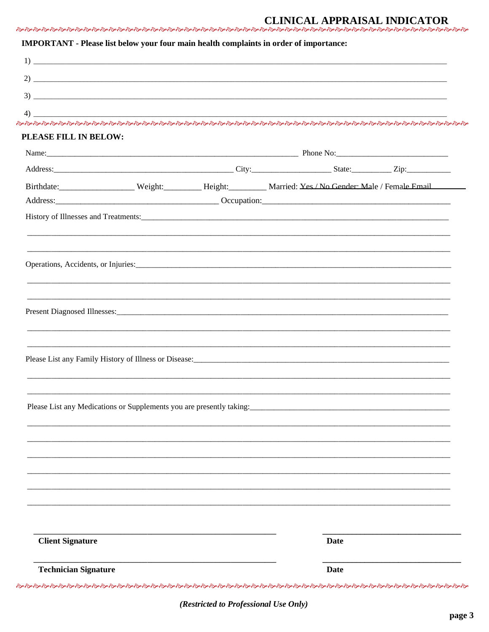### **CLINICAL APPRAISAL INDICATOR**

#### IMPORTANT - Please list below your four main health complaints in order of importance:

| PLEASE FILL IN BELOW:                                                |  |                                                                                                                                                                                                                                     |  |
|----------------------------------------------------------------------|--|-------------------------------------------------------------------------------------------------------------------------------------------------------------------------------------------------------------------------------------|--|
|                                                                      |  |                                                                                                                                                                                                                                     |  |
|                                                                      |  |                                                                                                                                                                                                                                     |  |
|                                                                      |  | Birthdate: Weight: Male / Female Email Weight: Meight: Male / Female Email Weight: Male / Female Email                                                                                                                              |  |
|                                                                      |  |                                                                                                                                                                                                                                     |  |
|                                                                      |  | History of Illnesses and Treatments: <u>Contractor Contractor Contractor</u> Contractor Contractor Contractor Contractor Contractor Contractor Contractor Contractor Contractor Contractor Contractor Contractor Contractor Contrac |  |
|                                                                      |  |                                                                                                                                                                                                                                     |  |
|                                                                      |  |                                                                                                                                                                                                                                     |  |
|                                                                      |  | Operations, Accidents, or Injuries: 1988 and 2008 and 2008 and 2008 and 2008 and 2008 and 2008 and 2008 and 2008 and 2008 and 2008 and 2008 and 2008 and 2008 and 2008 and 2008 and 2008 and 2008 and 2008 and 2008 and 2008 a      |  |
|                                                                      |  |                                                                                                                                                                                                                                     |  |
|                                                                      |  |                                                                                                                                                                                                                                     |  |
|                                                                      |  |                                                                                                                                                                                                                                     |  |
|                                                                      |  |                                                                                                                                                                                                                                     |  |
|                                                                      |  |                                                                                                                                                                                                                                     |  |
|                                                                      |  |                                                                                                                                                                                                                                     |  |
|                                                                      |  |                                                                                                                                                                                                                                     |  |
|                                                                      |  |                                                                                                                                                                                                                                     |  |
| Please List any Medications or Supplements you are presently taking: |  |                                                                                                                                                                                                                                     |  |
|                                                                      |  |                                                                                                                                                                                                                                     |  |
|                                                                      |  |                                                                                                                                                                                                                                     |  |
|                                                                      |  |                                                                                                                                                                                                                                     |  |
|                                                                      |  |                                                                                                                                                                                                                                     |  |
|                                                                      |  |                                                                                                                                                                                                                                     |  |
|                                                                      |  |                                                                                                                                                                                                                                     |  |
|                                                                      |  |                                                                                                                                                                                                                                     |  |
|                                                                      |  |                                                                                                                                                                                                                                     |  |
| <b>Client Signature</b>                                              |  | <b>Date</b>                                                                                                                                                                                                                         |  |
|                                                                      |  |                                                                                                                                                                                                                                     |  |

(Restricted to Professional Use Only)